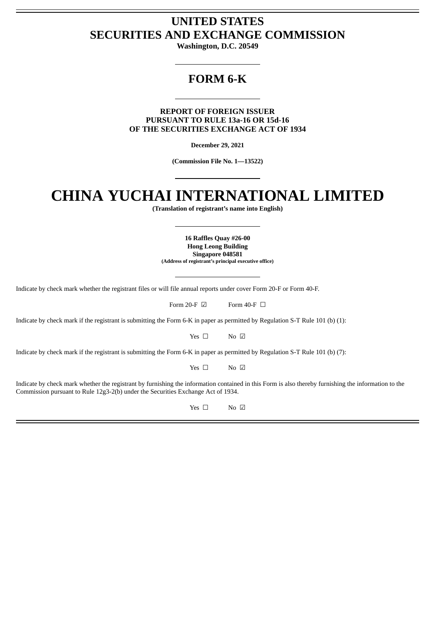# **UNITED STATES SECURITIES AND EXCHANGE COMMISSION**

**Washington, D.C. 20549**

# **FORM 6-K**

**REPORT OF FOREIGN ISSUER PURSUANT TO RULE 13a-16 OR 15d-16 OF THE SECURITIES EXCHANGE ACT OF 1934**

**December 29, 2021**

**(Commission File No. 1—13522)**

# **CHINA YUCHAI INTERNATIONAL LIMITED**

**(Translation of registrant's name into English)**

**16 Raffles Quay #26-00 Hong Leong Building Singapore 048581 (Address of registrant's principal executive office)**

Indicate by check mark whether the registrant files or will file annual reports under cover Form 20-F or Form 40-F.

| Form 40-F $\Box$<br>Form 20-F $\boxtimes$ |  |
|-------------------------------------------|--|
|-------------------------------------------|--|

Indicate by check mark if the registrant is submitting the Form 6-K in paper as permitted by Regulation S-T Rule 101 (b) (1):

Yes □ No ☑

Indicate by check mark if the registrant is submitting the Form 6-K in paper as permitted by Regulation S-T Rule 101 (b) (7):

Yes □ No ☑

Indicate by check mark whether the registrant by furnishing the information contained in this Form is also thereby furnishing the information to the Commission pursuant to Rule 12g3-2(b) under the Securities Exchange Act of 1934.

Yes □ No ☑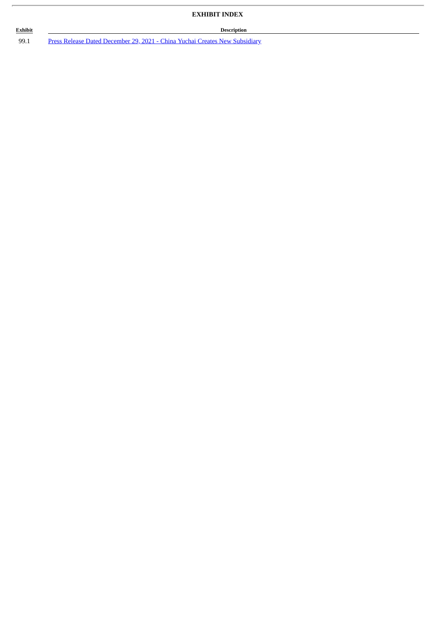# **EXHIBIT INDEX**

## **Exhibit Description**

99.1 Press Release Dated December 29, 2021 - China Yuchai Creates New [Subsidiary](#page-3-0)

ł.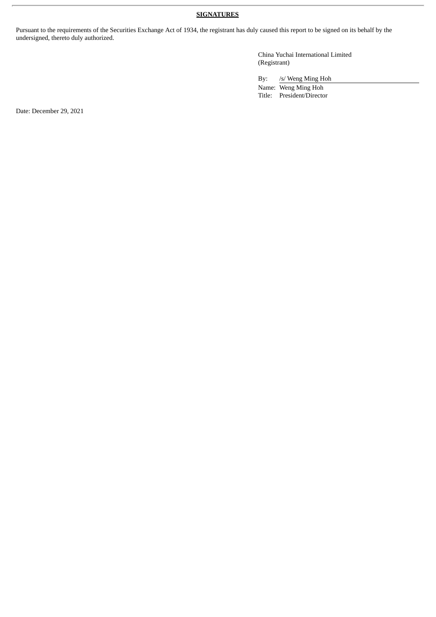## **SIGNATURES**

Pursuant to the requirements of the Securities Exchange Act of 1934, the registrant has duly caused this report to be signed on its behalf by the undersigned, thereto duly authorized.

> China Yuchai International Limited (Registrant)

By: /s/ Weng Ming Hoh

Name: Weng Ming Hoh Title: President/Director

Date: December 29, 2021